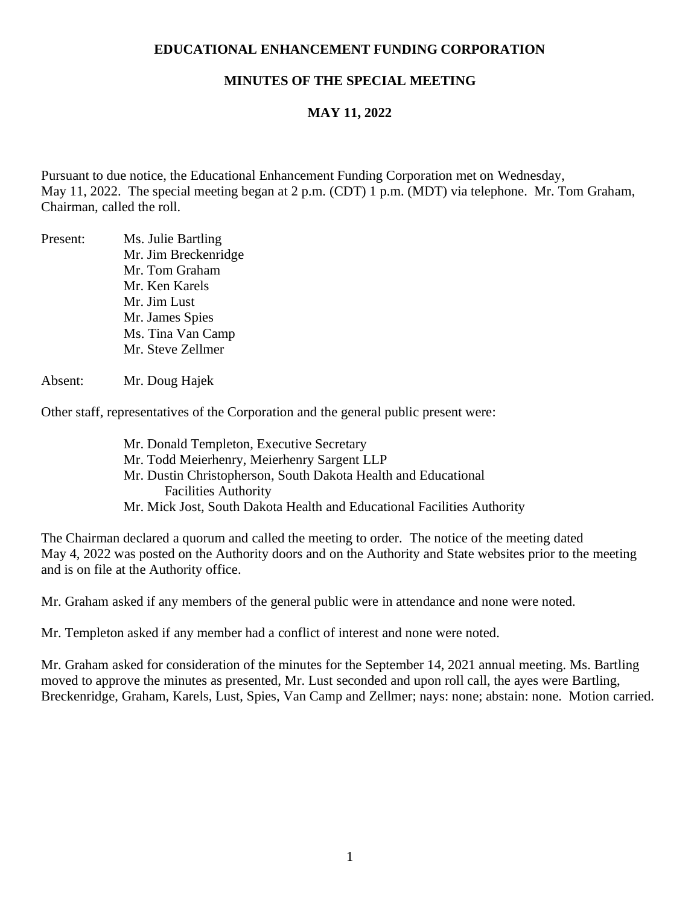### **EDUCATIONAL ENHANCEMENT FUNDING CORPORATION**

### **MINUTES OF THE SPECIAL MEETING**

## **MAY 11, 2022**

Pursuant to due notice, the Educational Enhancement Funding Corporation met on Wednesday, May 11, 2022. The special meeting began at 2 p.m. (CDT) 1 p.m. (MDT) via telephone. Mr. Tom Graham, Chairman, called the roll.

Present: Ms. Julie Bartling Mr. Jim Breckenridge Mr. Tom Graham Mr. Ken Karels Mr. Jim Lust Mr. James Spies Ms. Tina Van Camp Mr. Steve Zellmer

#### Absent: Mr. Doug Hajek

Other staff, representatives of the Corporation and the general public present were:

Mr. Donald Templeton, Executive Secretary Mr. Todd Meierhenry, Meierhenry Sargent LLP Mr. Dustin Christopherson, South Dakota Health and Educational Facilities Authority Mr. Mick Jost, South Dakota Health and Educational Facilities Authority

The Chairman declared a quorum and called the meeting to order. The notice of the meeting dated May 4, 2022 was posted on the Authority doors and on the Authority and State websites prior to the meeting and is on file at the Authority office.

Mr. Graham asked if any members of the general public were in attendance and none were noted.

Mr. Templeton asked if any member had a conflict of interest and none were noted.

Mr. Graham asked for consideration of the minutes for the September 14, 2021 annual meeting. Ms. Bartling moved to approve the minutes as presented, Mr. Lust seconded and upon roll call, the ayes were Bartling, Breckenridge, Graham, Karels, Lust, Spies, Van Camp and Zellmer; nays: none; abstain: none. Motion carried.